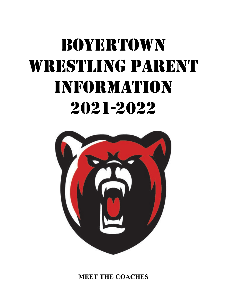# BOYERTOWN WRESTLING PARENT Information 2021-2022



**MEET THE COACHES**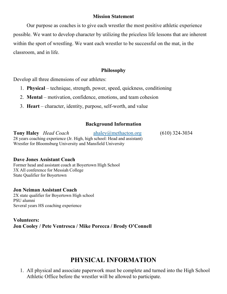#### **Mission Statement**

Our purpose as coaches is to give each wrestler the most positive athletic experience possible. We want to develop character by utilizing the priceless life lessons that are inherent within the sport of wrestling. We want each wrestler to be successful on the mat, in the classroom, and in life.

#### **Philosophy**

Develop all three dimensions of our athletes:

- 1. **Physical** technique, strength, power, speed, quickness, conditioning
- 2. **Mental** motivation, confidence, emotions, and team cohesion
- 3. **Heart** character, identity, purpose, self-worth, and value

#### **Background Information**

| <b>Tony Haley</b> Head Coach                                             | ahaley@methacton.org | $(610)$ 324-3034 |
|--------------------------------------------------------------------------|----------------------|------------------|
| 28 years coaching experience (Jr. High, high school: Head and assistant) |                      |                  |
| Wrestler for Bloomsburg University and Mansfield University              |                      |                  |

#### **Dave Jones Assistant Coach**

Former head and assistant coach at Boyertown High School 3X All conference for Messiah College State Qualifier for Boyertown

#### **Jon Neiman Assistant Coach**

2X state qualifier for Boyertown High school PSU alumni Several years HS coaching experience

#### **Volunteers: Jon Cooley / Pete Ventresca / Mike Porecca / Brody O'Connell**

#### **PHYSICAL INFORMATION**

1. All physical and associate paperwork must be complete and turned into the High School Athletic Office before the wrestler will be allowed to participate.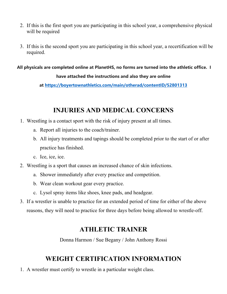- 2. If this is the first sport you are participating in this school year, a comprehensive physical will be required
- 3. If this is the second sport you are participating in this school year, a recertification will be required.

**All physicals are completed online at PlanetHS, no forms are turned into the athletic office. I** 

#### **have attached the instructions and also they are online**

**at <https://boyertownathletics.com/main/otherad/contentID/52801313>**

#### **INJURIES AND MEDICAL CONCERNS**

- 1. Wrestling is a contact sport with the risk of injury present at all times.
	- a. Report all injuries to the coach/trainer.
	- b. All injury treatments and tapings should be completed prior to the start of or after practice has finished.
	- c. Ice, ice, ice.
- 2. Wrestling is a sport that causes an increased chance of skin infections.
	- a. Shower immediately after every practice and competition.
	- b. Wear clean workout gear every practice.
	- c. Lysol spray items like shoes, knee pads, and headgear.
- 3. If a wrestler is unable to practice for an extended period of time for either of the above reasons, they will need to practice for three days before being allowed to wrestle-off.

#### **ATHLETIC TRAINER**

Donna Harmon / Sue Begany / John Anthony Rossi

#### **WEIGHT CERTIFICATION INFORMATION**

1. A wrestler must certify to wrestle in a particular weight class.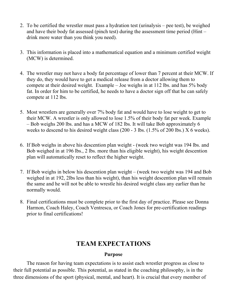- 2. To be certified the wrestler must pass a hydration test (urinalysis pee test), be weighed and have their body fat assessed (pinch test) during the assessment time period (Hint – drink more water than you think you need).
- 3. This information is placed into a mathematical equation and a minimum certified weight (MCW) is determined.
- 4. The wrestler may not have a body fat percentage of lower than 7 percent at their MCW. If they do, they would have to get a medical release from a doctor allowing them to compete at their desired weight. Example – Joe weighs in at 112 lbs. and has 5% body fat. In order for him to be certified, he needs to have a doctor sign off that he can safely compete at 112 lbs.
- 5. Most wrestlers are generally over 7% body fat and would have to lose weight to get to their MCW. A wrestler is only allowed to lose 1.5% of their body fat per week. Example – Bob weighs 200 lbs. and has a MCW of 182 lbs. It will take Bob approximately 6 weeks to descend to his desired weight class (200 - 3 lbs. (1.5% of 200 lbs.) X 6 weeks).
- 6. If Bob weighs in above his descention plan weight (week two weight was 194 lbs. and Bob weighed in at 196 lbs., 2 lbs. more than his eligible weight), his weight descention plan will automatically reset to reflect the higher weight.
- 7. If Bob weighs in below his descention plan weight (week two weight was 194 and Bob weighed in at 192, 2lbs less than his weight), than his weight descention plan will remain the same and he will not be able to wrestle his desired weight class any earlier than he normally would.
- 8. Final certifications must be complete prior to the first day of practice. Please see Donna Harmon, Coach Haley, Coach Ventresca, or Coach Jones for pre-certification readings prior to final certifications!

#### **TEAM EXPECTATIONS**

#### **Purpose**

The reason for having team expectations is to assist each wrestler progress as close to their full potential as possible. This potential, as stated in the coaching philosophy, is in the three dimensions of the sport (physical, mental, and heart). It is crucial that every member of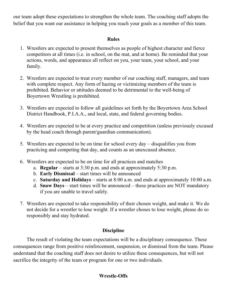our team adopt these expectations to strengthen the whole team. The coaching staff adopts the belief that you want our assistance in helping you reach your goals as a member of this team.

#### **Rules**

- 1. Wrestlers are expected to present themselves as people of highest character and fierce competitors at all times (i.e. in school, on the mat, and at home). Be reminded that your actions, words, and appearance all reflect on you, your team, your school, and your family.
- 2. Wrestlers are expected to treat every member of our coaching staff, managers, and team with complete respect. Any form of hazing or victimizing members of the team is prohibited. Behavior or attitudes deemed to be detrimental to the well-being of Boyertown Wrestling is prohibited.
- 3. Wrestlers are expected to follow all guidelines set forth by the Boyertown Area School District Handbook, P.I.A.A., and local, state, and federal governing bodies.
- 4. Wrestlers are expected to be at every practice and competition (unless previously excused by the head coach through parent/guardian communication).
- 5. Wrestlers are expected to be on time for school every day disqualifies you from practicing and competing that day, and counts as an unexcused absence.
- 6. Wrestlers are expected to be on time for all practices and matches
	- a. **Regular** starts at 3:30 p.m. and ends at approximately 5:30 p.m.
	- b. **Early Dismissal** start times will be announced
	- c. **Saturday and Holidays** starts at 8:00 a.m. and ends at approximately 10:00 a.m.
	- d. **Snow Days** start times will be announced these practices are NOT mandatory if you are unable to travel safely.
- 7. Wrestlers are expected to take responsibility of their chosen weight, and make it. We do not decide for a wrestler to lose weight. If a wrestler choses to lose weight, please do so responsibly and stay hydrated.

#### **Discipline**

The result of violating the team expectations will be a disciplinary consequence. These consequences range from positive reinforcement, suspension, or dismissal from the team. Please understand that the coaching staff does not desire to utilize these consequences, but will not sacrifice the integrity of the team or program for one or two individuals.

#### **Wrestle-Offs**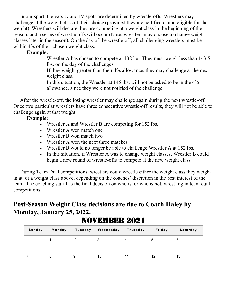In our sport, the varsity and JV spots are determined by wrestle-offs. Wrestlers may challenge at the weight class of their choice (provided they are certified at and eligible for that weight). Wrestlers will declare they are competing at a weight class in the beginning of the season, and a series of wrestle-offs will occur (Note: wrestlers may choose to change weight classes later in the season). On the day of the wrestle-off, all challenging wrestlers must be within 4% of their chosen weight class.

#### **Example:**

- Wrestler A has chosen to compete at 138 lbs. They must weigh less than 143.5 lbs. on the day of the challenges.
- If they weight greater than their 4% allowance, they may challenge at the next weight class.
- In this situation, the Wrestler at 145 lbs. will not be asked to be in the 4% allowance, since they were not notified of the challenge.

After the wrestle-off, the losing wrestler may challenge again during the next wrestle-off. Once two particular wrestlers have three consecutive wrestle-off results, they will not be able to challenge again at that weight.

#### **Example:**

- Wrestler A and Wrestler B are competing for 152 lbs.
- Wrestler A won match one
- Wrestler B won match two
- Wrestler A won the next three matches
- Wrestler B would no longer be able to challenge Wrestler A at 152 lbs.
- In this situation, if Wrestler A was to change weight classes, Wrestler B could begin a new round of wrestle-offs to compete at the new weight class.

During Team Dual competitions, wrestlers could wrestle either the weight class they weighin at, or a weight class above, depending on the coaches' discretion in the best interest of the team. The coaching staff has the final decision on who is, or who is not, wrestling in team dual competitions.

### **Post-Season Weight Class decisions are due to Coach Haley by Monday, January 25, 2022.**

| Sunday | Monday | <b>Tuesday</b> | Wednesday | Thursday | Friday | Saturday |
|--------|--------|----------------|-----------|----------|--------|----------|
|        |        | 2              | 3         | 4        | 5      | 6        |
|        | 8      | 9              | 10        | 11       | 12     | 13       |

## NOVEMBER 2021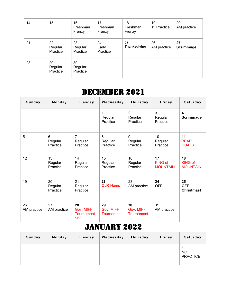| 14 | 15                        | 16<br>Freshman<br>Frenzy  | 17<br>Freshman<br>Frenzy | 18<br>Freshman<br>Frenzy | 19<br>1 <sup>st</sup> Practice | 20<br>AM practice      |
|----|---------------------------|---------------------------|--------------------------|--------------------------|--------------------------------|------------------------|
| 21 | 22<br>Regular<br>Practice | 23<br>Regular<br>Practice | 24<br>Early<br>Practice  | 25<br>Thanksgiving       | 26<br>AM practice              | 27<br><b>Scrimmage</b> |
| 28 | 29<br>Regular<br>Practice | 30<br>Regular<br>Practice |                          |                          |                                |                        |

## DECEMBER 2021

| Sunday            | Monday                    | <b>Tuesday</b>                        | Wednesday                     | Thursday                              | Friday                                  | Saturday                                |
|-------------------|---------------------------|---------------------------------------|-------------------------------|---------------------------------------|-----------------------------------------|-----------------------------------------|
|                   |                           |                                       | 1<br>Regular<br>Practice      | $\overline{2}$<br>Regular<br>Practice | 3<br>Regular<br>Practice                | 4<br><b>Scrimmage</b>                   |
| 5                 | 6<br>Regular<br>Practice  | $\overline{7}$<br>Regular<br>Practice | 8<br>Regular<br>Practice      | 9<br>Regular<br>Practice              | 10<br>Regular<br>Practice               | 11<br><b>BEAR</b><br><b>DUALS</b>       |
| 12                | 13<br>Regular<br>Practice | 14<br>Regular<br>Practice             | 15<br>Regular<br>Practice     | 16<br>Regular<br>Practice             | 17<br><b>KING of</b><br><b>MOUNTAIN</b> | 18<br><b>KING of</b><br><b>MOUNTAIN</b> |
| 19                | 20<br>Regular<br>Practice | 21<br>Regular<br>Practice             | 22<br>OJR-Home                | 23<br>AM practice                     | 24<br><b>OFF</b>                        | 25<br><b>OFF</b><br><b>Christmas!</b>   |
| 26<br>AM practice | 27<br>AM practice         | 28<br>Gov. MIFF<br>Tournament<br>*JV  | 29<br>Gov. MIFF<br>Tournament | 30<br>Gov. MIFF<br>Tournament         | 31<br>AM practice                       |                                         |

# January 2022

| <b>Sunday</b> | Monday | Tuesday | Wednesday | Thursday | Friday | Saturday                     |
|---------------|--------|---------|-----------|----------|--------|------------------------------|
|               |        |         |           |          |        | <b>NO</b><br><b>PRACTICE</b> |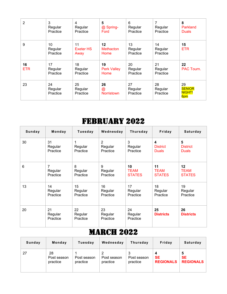| 2                | 3<br>Regular<br>Practice  | 4<br>Regular<br>Practice       | 5<br>@ Spring-<br>Ford              | 6<br>Regular<br>Practice  | 7<br>Regular<br>Practice  | 8<br>Parkland<br><b>Duals</b>               |
|------------------|---------------------------|--------------------------------|-------------------------------------|---------------------------|---------------------------|---------------------------------------------|
| 9                | 10<br>Regular<br>Practice | 11<br><b>Exeter HS</b><br>Away | $12 \,$<br><b>Methacton</b><br>Home | 13<br>Regular<br>Practice | 14<br>Regular<br>Practice | 15<br><b>ETR</b>                            |
| 16<br><b>ETR</b> | 17<br>Regular<br>Practice | 18<br>Regular<br>Practice      | 19<br><b>Perk Valley</b><br>Home    | 20<br>Regular<br>Practice | 21<br>Regular<br>Practice | 22<br>PAC Tourn.                            |
| 23               | 24<br>Regular<br>Practice | 25<br>Regular<br>Practice      | 26<br>$^{\copyright}$<br>Norristown | 27<br>Regular<br>Practice | 28<br>Regular<br>Practice | 29<br><b>SENIOR</b><br><b>NIGHT!</b><br>6pm |

# FEBRUARY 2022

| <b>Sunday</b> | Monday                    | Tuesday                   | Wednesday                 | <b>Thursday</b>           | Friday                  | Saturday               |
|---------------|---------------------------|---------------------------|---------------------------|---------------------------|-------------------------|------------------------|
| 30            | 31                        | 1                         | $\overline{2}$            | 3                         | $\overline{\mathbf{4}}$ | 5                      |
|               | Regular                   | Regular                   | Regular                   | Regular                   | <b>District</b>         | <b>District</b>        |
|               | Practice                  | Practice                  | Practice                  | Practice                  | <b>Duals</b>            | <b>Duals</b>           |
| 6             | 7                         | 8                         | 9                         | 10                        | 11                      | 12                     |
|               | Regular                   | Regular                   | Regular                   | <b>TEAM</b>               | <b>TEAM</b>             | <b>TEAM</b>            |
|               | Practice                  | Practice                  | Practice                  | <b>STATES</b>             | <b>STATES</b>           | <b>STATES</b>          |
| 13            | 14                        | 15                        | 16                        | 17                        | 18                      | 19                     |
|               | Regular                   | Regular                   | Regular                   | Regular                   | Regular                 | Regular                |
|               | Practice                  | Practice                  | Practice                  | Practice                  | Practice                | Practice               |
| 20            | 21<br>Regular<br>Practice | 22<br>Regular<br>Practice | 23<br>Regular<br>Practice | 24<br>Regular<br>Practice | 25<br><b>Districts</b>  | 26<br><b>Districts</b> |

## **MARCH 2022**

| Sunday | Monday                        | Tuesday                 | Wednesday               | Thursday                | Friday                             | Saturday                           |
|--------|-------------------------------|-------------------------|-------------------------|-------------------------|------------------------------------|------------------------------------|
| 27     | 28<br>Post season<br>practice | Post season<br>practice | Post season<br>practice | Post season<br>practice | 4<br><b>SE</b><br><b>REGIONALS</b> | 5<br><b>SE</b><br><b>REGIONALS</b> |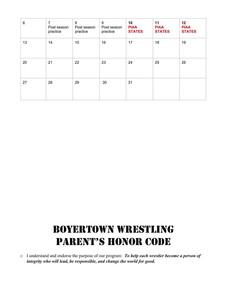| $\,6$ | $\overline{7}$<br>Post season<br>practice | 8<br>Post season<br>practice | 9<br>Post season<br>practice | 10<br><b>PIAA</b><br><b>STATES</b> | 11<br><b>PIAA</b><br><b>STATES</b> | 12<br><b>PIAA</b><br><b>STATES</b> |
|-------|-------------------------------------------|------------------------------|------------------------------|------------------------------------|------------------------------------|------------------------------------|
| 13    | 14                                        | 15                           | 16                           | 17                                 | 18                                 | 19                                 |
| 20    | 21                                        | 22                           | 23                           | 24                                 | 25                                 | 26                                 |
| 27    | 28                                        | 29                           | 30                           | 31                                 |                                    |                                    |

# BOYERTOWN Wrestling PARENT'S HONOR CODE

o I understand and endorse the purpose of our program: *To help each wrestler become a person of integrity who will lead, be responsible, and change the world for good.*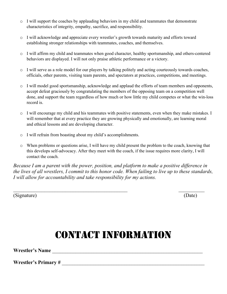- $\circ$  I will support the coaches by applauding behaviors in my child and teammates that demonstrate characteristics of integrity, empathy, sacrifice, and responsibility.
- o I will acknowledge and appreciate every wrestler's growth towards maturity and efforts toward establishing stronger relationships with teammates, coaches, and themselves.
- o I will affirm my child and teammates when good character, healthy sportsmanship, and others-centered behaviors are displayed. I will not only praise athletic performance or a victory.
- o I will serve as a role model for our players by talking politely and acting courteously towards coaches, officials, other parents, visiting team parents, and spectators at practices, competitions, and meetings.
- o I will model good sportsmanship, acknowledge and applaud the efforts of team members and opponents, accept defeat graciously by congratulating the members of the opposing team on a competition well done, and support the team regardless of how much or how little my child competes or what the win-loss record is.
- o I will encourage my child and his teammates with positive statements, even when they make mistakes. I will remember that at every practice they are growing physically and emotionally, are learning moral and ethical lessons and are developing character.
- o I will refrain from boasting about my child's accomplishments.
- o When problems or questions arise, I will have my child present the problem to the coach, knowing that this develops self-advocacy. After they meet with the coach, if the issue requires more clarity, I will contact the coach.

*Because I am a parent with the power, position, and platform to make a positive difference in the lives of all wrestlers, I commit to this honor code. When failing to live up to these standards, I will allow for accountability and take responsibility for my actions.*

 $\mathcal{L}_\text{max}$  , and the contract of the contract of the contract of the contract of the contract of the contract of the contract of the contract of the contract of the contract of the contract of the contract of the contr

(Signature) (Date)

# CONTACT INFORMATION

**Wrestler's Name** \_\_\_\_\_\_\_\_\_\_\_\_\_\_\_\_\_\_\_\_\_\_\_\_\_\_\_\_\_\_\_\_\_\_\_\_\_\_\_\_\_\_\_\_\_\_\_\_\_\_\_\_\_\_\_\_\_\_

Wrestler's Primary #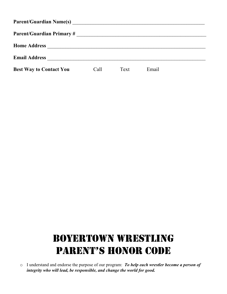| <b>Parent/Guardian Name(s)</b> |      |      |       |  |  |  |  |  |  |
|--------------------------------|------|------|-------|--|--|--|--|--|--|
| Parent/Guardian Primary #      |      |      |       |  |  |  |  |  |  |
| <b>Home Address</b>            |      |      |       |  |  |  |  |  |  |
| <b>Email Address</b>           |      |      |       |  |  |  |  |  |  |
| <b>Best Way to Contact You</b> | Call | Text | Email |  |  |  |  |  |  |

# BOYERTOWN Wrestling PARENT'S HONOR CODE

o I understand and endorse the purpose of our program: *To help each wrestler become a person of integrity who will lead, be responsible, and change the world for good.*